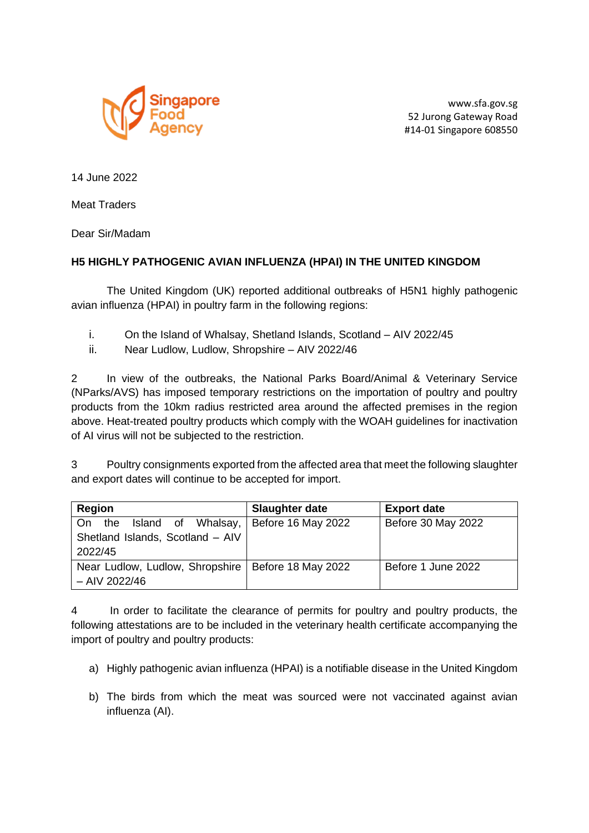

www.sfa.gov.sg 52 Jurong Gateway Road #14-01 Singapore 608550

14 June 2022

Meat Traders

Dear Sir/Madam

## **H5 HIGHLY PATHOGENIC AVIAN INFLUENZA (HPAI) IN THE UNITED KINGDOM**

The United Kingdom (UK) reported additional outbreaks of H5N1 highly pathogenic avian influenza (HPAI) in poultry farm in the following regions:

- i. On the Island of Whalsay, Shetland Islands, Scotland AIV 2022/45
- ii. Near Ludlow, Ludlow, Shropshire AIV 2022/46

2 In view of the outbreaks, the National Parks Board/Animal & Veterinary Service (NParks/AVS) has imposed temporary restrictions on the importation of poultry and poultry products from the 10km radius restricted area around the affected premises in the region above. Heat-treated poultry products which comply with the WOAH guidelines for inactivation of AI virus will not be subjected to the restriction.

3 Poultry consignments exported from the affected area that meet the following slaughter and export dates will continue to be accepted for import.

| Region                                               | <b>Slaughter date</b> | <b>Export date</b> |
|------------------------------------------------------|-----------------------|--------------------|
| On the Island of Whalsay,   Before 16 May 2022       |                       | Before 30 May 2022 |
| Shetland Islands, Scotland - AIV                     |                       |                    |
| 2022/45                                              |                       |                    |
| Near Ludlow, Ludlow, Shropshire   Before 18 May 2022 |                       | Before 1 June 2022 |
| $-$ AIV 2022/46                                      |                       |                    |

4 In order to facilitate the clearance of permits for poultry and poultry products, the following attestations are to be included in the veterinary health certificate accompanying the import of poultry and poultry products:

- a) Highly pathogenic avian influenza (HPAI) is a notifiable disease in the United Kingdom
- b) The birds from which the meat was sourced were not vaccinated against avian influenza (AI).